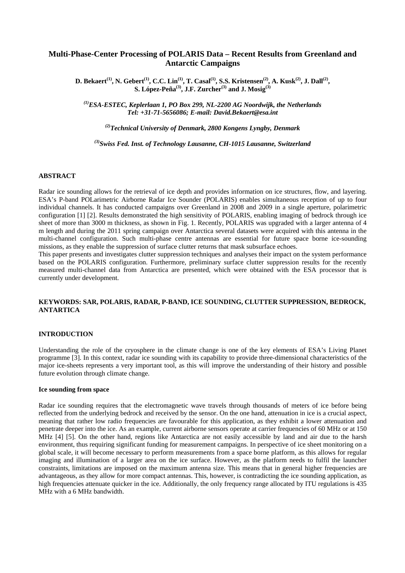# **Multi-Phase-Center Processing of POLARIS Data – Recent Results from Greenland and Antarctic Campaigns**

**D. Bekaert**<sup>(1)</sup>, N. Gebert<sup>(1)</sup>, C.C. Lin<sup>(1)</sup>, T. Casal<sup>(1)</sup>, S.S. Kristensen<sup>(2)</sup>, A. Kusk<sup>(2)</sup>, J. Dall<sup>(2)</sup>, **S. López-Peña(3), J.F. Zurcher(3) and J. Mosig(3)**

*(1)ESA-ESTEC, Keplerlaan 1, PO Box 299, NL-2200 AG Noordwijk, the Netherlands Tel: +31-71-5656086; E-mail: David.Bekaert@esa.int* 

*(2)Technical University of Denmark, 2800 Kongens Lyngby, Denmark* 

*(3)Swiss Fed. Inst. of Technology Lausanne, CH-1015 Lausanne, Switzerland* 

### **ABSTRACT**

Radar ice sounding allows for the retrieval of ice depth and provides information on ice structures, flow, and layering. ESA's P-band POLarimetric Airborne Radar Ice Sounder (POLARIS) enables simultaneous reception of up to four individual channels. It has conducted campaigns over Greenland in 2008 and 2009 in a single aperture, polarimetric configuration [1] [2]. Results demonstrated the high sensitivity of POLARIS, enabling imaging of bedrock through ice sheet of more than 3000 m thickness, as shown in Fig. 1. Recently, POLARIS was upgraded with a larger antenna of 4 m length and during the 2011 spring campaign over Antarctica several datasets were acquired with this antenna in the multi-channel configuration. Such multi-phase centre antennas are essential for future space borne ice-sounding missions, as they enable the suppression of surface clutter returns that mask subsurface echoes.

This paper presents and investigates clutter suppression techniques and analyses their impact on the system performance based on the POLARIS configuration. Furthermore, preliminary surface clutter suppression results for the recently measured multi-channel data from Antarctica are presented, which were obtained with the ESA processor that is currently under development.

## **KEYWORDS: SAR, POLARIS, RADAR, P-BAND, ICE SOUNDING, CLUTTER SUPPRESSION, BEDROCK, ANTARTICA**

### **INTRODUCTION**

Understanding the role of the cryosphere in the climate change is one of the key elements of ESA's Living Planet programme [3]. In this context, radar ice sounding with its capability to provide three-dimensional characteristics of the major ice-sheets represents a very important tool, as this will improve the understanding of their history and possible future evolution through climate change.

#### **Ice sounding from space**

Radar ice sounding requires that the electromagnetic wave travels through thousands of meters of ice before being reflected from the underlying bedrock and received by the sensor. On the one hand, attenuation in ice is a crucial aspect, meaning that rather low radio frequencies are favourable for this application, as they exhibit a lower attenuation and penetrate deeper into the ice. As an example, current airborne sensors operate at carrier frequencies of 60 MHz or at 150 MHz [4] [5]. On the other hand, regions like Antarctica are not easily accessible by land and air due to the harsh environment, thus requiring significant funding for measurement campaigns. In perspective of ice sheet monitoring on a global scale, it will become necessary to perform measurements from a space borne platform, as this allows for regular imaging and illumination of a larger area on the ice surface. However, as the platform needs to fulfil the launcher constraints, limitations are imposed on the maximum antenna size. This means that in general higher frequencies are advantageous, as they allow for more compact antennas. This, however, is contradicting the ice sounding application, as high frequencies attenuate quicker in the ice. Additionally, the only frequency range allocated by ITU regulations is 435 MHz with a 6 MHz bandwidth.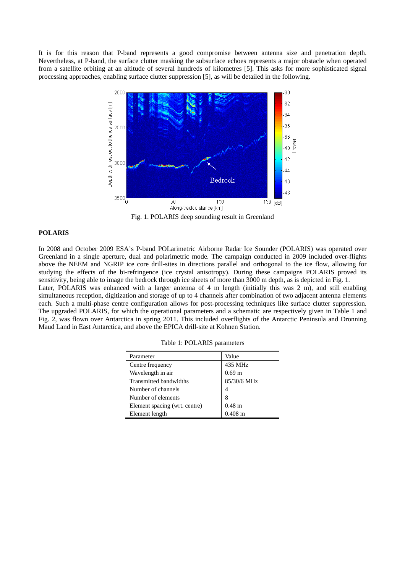It is for this reason that P-band represents a good compromise between antenna size and penetration depth. Nevertheless, at P-band, the surface clutter masking the subsurface echoes represents a major obstacle when operated from a satellite orbiting at an altitude of several hundreds of kilometres [5]. This asks for more sophisticated signal processing approaches, enabling surface clutter suppression [5], as will be detailed in the following.



Fig. 1. POLARIS deep sounding result in Greenland

#### **POLARIS**

In 2008 and October 2009 ESA's P-band POLarimetric Airborne Radar Ice Sounder (POLARIS) was operated over Greenland in a single aperture, dual and polarimetric mode. The campaign conducted in 2009 included over-flights above the NEEM and NGRIP ice core drill-sites in directions parallel and orthogonal to the ice flow, allowing for studying the effects of the bi-refringence (ice crystal anisotropy). During these campaigns POLARIS proved its sensitivity, being able to image the bedrock through ice sheets of more than 3000 m depth, as is depicted in Fig. 1.

Later, POLARIS was enhanced with a larger antenna of 4 m length (initially this was 2 m), and still enabling simultaneous reception, digitization and storage of up to 4 channels after combination of two adjacent antenna elements each. Such a multi-phase centre configuration allows for post-processing techniques like surface clutter suppression. The upgraded POLARIS, for which the operational parameters and a schematic are respectively given in Table 1 and Fig. 2, was flown over Antarctica in spring 2011. This included overflights of the Antarctic Peninsula and Dronning Maud Land in East Antarctica, and above the EPICA drill-site at Kohnen Station.

| Parameter                     | Value                 |
|-------------------------------|-----------------------|
| Centre frequency              | 435 MHz               |
| Wavelength in air             | 0.69 <sub>m</sub>     |
| Transmitted bandwidths        | $85/30/6\ \mbox{MHz}$ |
| Number of channels            |                       |
| Number of elements            | 8                     |
| Element spacing (wrt. centre) | $0.48$ m              |
| Element length                | $0.408 \text{ m}$     |

Table 1: POLARIS parameters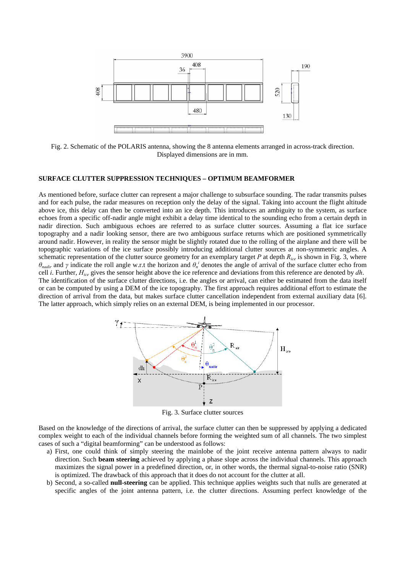

Fig. 2. Schematic of the POLARIS antenna, showing the 8 antenna elements arranged in across-track direction. Displayed dimensions are in mm.

### **SURFACE CLUTTER SUPPRESSION TECHNIQUES – OPTIMUM BEAMFORMER**

As mentioned before, surface clutter can represent a major challenge to subsurface sounding. The radar transmits pulses and for each pulse, the radar measures on reception only the delay of the signal. Taking into account the flight altitude above ice, this delay can then be converted into an ice depth. This introduces an ambiguity to the system, as surface echoes from a specific off-nadir angle might exhibit a delay time identical to the sounding echo from a certain depth in nadir direction. Such ambiguous echoes are referred to as surface clutter sources. Assuming a flat ice surface topography and a nadir looking sensor, there are two ambiguous surface returns which are positioned symmetrically around nadir. However, in reality the sensor might be slightly rotated due to the rolling of the airplane and there will be topographic variations of the ice surface possibly introducing additional clutter sources at non-symmetric angles. A schematic representation of the clutter source geometry for an exemplary target *P* at depth *Rice* is shown in Fig. 3, where *θ<sub>nadir</sub>* and *γ* indicate the roll angle w.r.t the horizon and  $θ_n^i$  denotes the angle of arrival of the surface clutter echo from cell *i*. Further, *Hice* gives the sensor height above the ice reference and deviations from this reference are denoted by *dh*. The identification of the surface clutter directions, i.e. the angles or arrival, can either be estimated from the data itself or can be computed by using a DEM of the ice topography. The first approach requires additional effort to estimate the direction of arrival from the data, but makes surface clutter cancellation independent from external auxiliary data [6]. The latter approach, which simply relies on an external DEM, is being implemented in our processor.



Fig. 3. Surface clutter sources

Based on the knowledge of the directions of arrival, the surface clutter can then be suppressed by applying a dedicated complex weight to each of the individual channels before forming the weighted sum of all channels. The two simplest cases of such a "digital beamforming" can be understood as follows:

- a) First, one could think of simply steering the mainlobe of the joint receive antenna pattern always to nadir direction. Such **beam steering** achieved by applying a phase slope across the individual channels. This approach maximizes the signal power in a predefined direction, or, in other words, the thermal signal-to-noise ratio (SNR) is optimized. The drawback of this approach that it does do not account for the clutter at all.
- b) Second, a so-called **null-steering** can be applied. This technique applies weights such that nulls are generated at specific angles of the joint antenna pattern, i.e. the clutter directions. Assuming perfect knowledge of the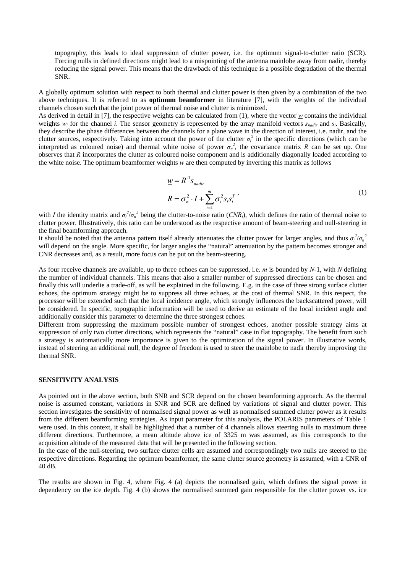topography, this leads to ideal suppression of clutter power, i.e. the optimum signal-to-clutter ratio (SCR). Forcing nulls in defined directions might lead to a mispointing of the antenna mainlobe away from nadir, thereby reducing the signal power. This means that the drawback of this technique is a possible degradation of the thermal SNR.

A globally optimum solution with respect to both thermal and clutter power is then given by a combination of the two above techniques. It is referred to as **optimum beamformer** in literature [7], with the weights of the individual channels chosen such that the joint power of thermal noise and clutter is minimized.

As derived in detail in [7], the respective weights can be calculated from  $(1)$ , where the vector  $w$  contains the individual weights  $w_i$  for the channel *i*. The sensor geometry is represented by the array manifold vectors  $s_{nadir}$  and  $s_i$ . Basically, they describe the phase differences between the channels for a plane wave in the direction of interest, i.e. nadir, and the clutter sources, respectively. Taking into account the power of the clutter  $\sigma_i^2$  in the specific directions (which can be interpreted as coloured noise) and thermal white noise of power  $\sigma_n^2$ , the covariance matrix *R* can be set up. One observes that *R* incorporates the clutter as coloured noise component and is additionally diagonally loaded according to the white noise. The optimum beamformer weights *w* are then computed by inverting this matrix as follows

$$
\underline{w} = R^{-1} s_{nadir}
$$
\n
$$
R = \sigma_n^2 \cdot I + \sum_{i=1}^m \sigma_i^2 s_i s_i^T
$$
\n<sup>(1)</sup>

with *I* the identity matrix and  $\sigma_i^2/\sigma_n^2$  being the clutter-to-noise ratio (*CNR<sub>i</sub>*), which defines the ratio of thermal noise to clutter power. Illustratively, this ratio can be understood as the respective amount of beam-steering and null-steering in the final beamforming approach.

It should be noted that the antenna pattern itself already attenuates the clutter power for larger angles, and thus  $\sigma_i^2/\sigma_n^2$ will depend on the angle. More specific, for larger angles the "natural" attenuation by the pattern becomes stronger and CNR decreases and, as a result, more focus can be put on the beam-steering.

As four receive channels are available, up to three echoes can be suppressed, i.e. *m* is bounded by *N*-1, with *N* defining the number of individual channels. This means that also a smaller number of suppressed directions can be chosen and finally this will underlie a trade-off, as will be explained in the following. E.g. in the case of three strong surface clutter echoes, the optimum strategy might be to suppress all three echoes, at the cost of thermal SNR. In this respect, the processor will be extended such that the local incidence angle, which strongly influences the backscattered power, will be considered. In specific, topographic information will be used to derive an estimate of the local incident angle and additionally consider this parameter to determine the three strongest echoes.

Different from suppressing the maximum possible number of strongest echoes, another possible strategy aims at suppression of only two clutter directions, which represents the "natural" case in flat topography. The benefit from such a strategy is automatically more importance is given to the optimization of the signal power. In illustrative words, instead of steering an additional null, the degree of freedom is used to steer the mainlobe to nadir thereby improving the thermal SNR.

#### **SENSITIVITY ANALYSIS**

As pointed out in the above section, both SNR and SCR depend on the chosen beamforming approach. As the thermal noise is assumed constant, variations in SNR and SCR are defined by variations of signal and clutter power. This section investigates the sensitivity of normalised signal power as well as normalised summed clutter power as it results from the different beamforming strategies. As input parameter for this analysis, the POLARIS parameters of Table 1 were used. In this context, it shall be highlighted that a number of 4 channels allows steering nulls to maximum three different directions. Furthermore, a mean altitude above ice of 3325 m was assumed, as this corresponds to the acquisition altitude of the measured data that will be presented in the following section.

In the case of the null-steering, two surface clutter cells are assumed and correspondingly two nulls are steered to the respective directions. Regarding the optimum beamformer, the same clutter source geometry is assumed, with a CNR of 40 dB.

The results are shown in Fig. 4, where Fig. 4 (a) depicts the normalised gain, which defines the signal power in dependency on the ice depth. Fig. 4 (b) shows the normalised summed gain responsible for the clutter power vs. ice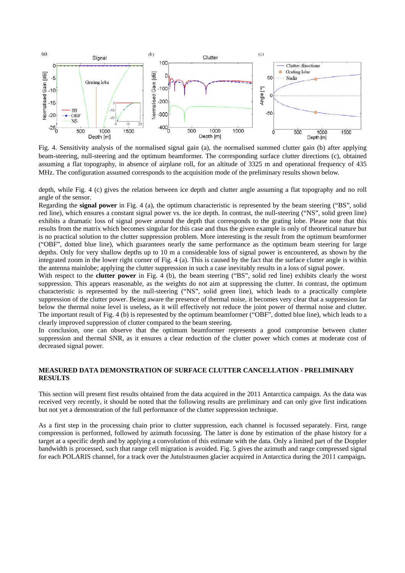

Fig. 4. Sensitivity analysis of the normalised signal gain (a), the normalised summed clutter gain (b) after applying beam-steering, null-steering and the optimum beamformer. The corresponding surface clutter directions (c), obtained assuming a flat topography, in absence of airplane roll, for an altitude of 3325 m and operational frequency of 435 MHz. The configuration assumed corresponds to the acquisition mode of the preliminary results shown below.

depth, while Fig. 4 (c) gives the relation between ice depth and clutter angle assuming a flat topography and no roll angle of the sensor.

Regarding the **signal power** in Fig. 4 (a), the optimum characteristic is represented by the beam steering ("BS", solid red line), which ensures a constant signal power vs. the ice depth. In contrast, the null-steering ("NS", solid green line) exhibits a dramatic loss of signal power around the depth that corresponds to the grating lobe. Please note that this results from the matrix which becomes singular for this case and thus the given example is only of theoretical nature but is no practical solution to the clutter suppression problem. More interesting is the result from the optimum beamformer ("OBF", dotted blue line), which guarantees nearly the same performance as the optimum beam steering for large depths. Only for very shallow depths up to 10 m a considerable loss of signal power is encountered, as shown by the integrated zoom in the lower right corner of Fig. 4 (a). This is caused by the fact that the surface clutter angle is within the antenna mainlobe; applying the clutter suppression in such a case inevitably results in a loss of signal power.

With respect to the **clutter power** in Fig. 4 (b), the beam steering ("BS", solid red line) exhibits clearly the worst suppression. This appears reasonable, as the weights do not aim at suppressing the clutter. In contrast, the optimum characteristic is represented by the null-steering ("NS", solid green line), which leads to a practically complete suppression of the clutter power. Being aware the presence of thermal noise, it becomes very clear that a suppression far below the thermal noise level is useless, as it will effectively not reduce the joint power of thermal noise and clutter. The important result of Fig. 4 (b) is represented by the optimum beamformer ("OBF", dotted blue line), which leads to a clearly improved suppression of clutter compared to the beam steering.

In conclusion, one can observe that the optimum beamformer represents a good compromise between clutter suppression and thermal SNR, as it ensures a clear reduction of the clutter power which comes at moderate cost of decreased signal power.

## **MEASURED DATA DEMONSTRATION OF SURFACE CLUTTER CANCELLATION - PRELIMINARY RESULTS**

This section will present first results obtained from the data acquired in the 2011 Antarctica campaign. As the data was received very recently, it should be noted that the following results are preliminary and can only give first indications but not yet a demonstration of the full performance of the clutter suppression technique.

As a first step in the processing chain prior to clutter suppression, each channel is focussed separately. First, range compression is performed, followed by azimuth focussing. The latter is done by estimation of the phase history for a target at a specific depth and by applying a convolution of this estimate with the data. Only a limited part of the Doppler bandwidth is processed, such that range cell migration is avoided. Fig. 5 gives the azimuth and range compressed signal for each POLARIS channel, for a track over the Jutulstraumen glacier acquired in Antarctica during the 2011 campaign**.**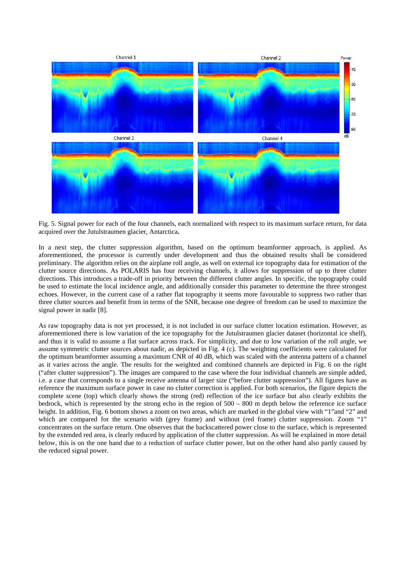

Fig. 5. Signal power for each of the four channels, each normalized with respect to its maximum surface return, for data acquired over the Jutulstraumen glacier, Antarctica**.** 

In a next step, the clutter suppression algorithm, based on the optimum beamformer approach, is applied. As aforementioned, the processor is currently under development and thus the obtained results shall be considered preliminary. The algorithm relies on the airplane roll angle, as well on external ice topography data for estimation of the clutter source directions. As POLARIS has four receiving channels, it allows for suppression of up to three clutter directions. This introduces a trade-off in priority between the different clutter angles. In specific, the topography could be used to estimate the local incidence angle, and additionally consider this parameter to determine the three strongest echoes. However, in the current case of a rather flat topography it seems more favourable to suppress two rather than three clutter sources and benefit from in terms of the SNR, because one degree of freedom can be used to maximize the signal power in nadir [8].

As raw topography data is not yet processed, it is not included in our surface clutter location estimation. However, as aforementioned there is low variation of the ice topography for the Jutulstraumen glacier dataset (horizontal ice shelf), and thus it is valid to assume a flat surface across track. For simplicity, and due to low variation of the roll angle, we assume symmetric clutter sources about nadir, as depicted in Fig. 4 (c). The weighting coefficients were calculated for the optimum beamformer assuming a maximum CNR of 40 dB, which was scaled with the antenna pattern of a channel as it varies across the angle. The results for the weighted and combined channels are depicted in Fig. 6 on the right ("after clutter suppression"). The images are compared to the case where the four individual channels are simple added, i.e. a case that corresponds to a single receive antenna of larger size ("before clutter suppression"). All figures have as reference the maximum surface power in case no clutter correction is applied. For both scenarios, the figure depicts the complete scene (top) which clearly shows the strong (red) reflection of the ice surface but also clearly exhibits the bedrock, which is represented by the strong echo in the region of 500 – 800 m depth below the reference ice surface height. In addition, Fig. 6 bottom shows a zoom on two areas, which are marked in the global view with "1"and "2" and which are compared for the scenario with (grey frame) and without (red frame) clutter suppression. Zoom "1" concentrates on the surface return. One observes that the backscattered power close to the surface, which is represented by the extended red area, is clearly reduced by application of the clutter suppression. As will be explained in more detail below, this is on the one hand due to a reduction of surface clutter power, but on the other hand also partly caused by the reduced signal power.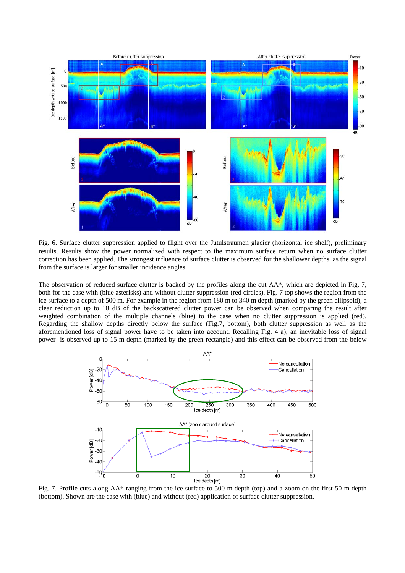

Fig. 6. Surface clutter suppression applied to flight over the Jutulstraumen glacier (horizontal ice shelf), preliminary results. Results show the power normalized with respect to the maximum surface return when no surface clutter correction has been applied. The strongest influence of surface clutter is observed for the shallower depths, as the signal from the surface is larger for smaller incidence angles.

The observation of reduced surface clutter is backed by the profiles along the cut AA\*, which are depicted in Fig. 7, both for the case with (blue asterisks) and without clutter suppression (red circles). Fig. 7 top shows the region from the ice surface to a depth of 500 m. For example in the region from 180 m to 340 m depth (marked by the green ellipsoid), a clear reduction up to 10 dB of the backscattered clutter power can be observed when comparing the result after weighted combination of the multiple channels (blue) to the case when no clutter suppression is applied (red). Regarding the shallow depths directly below the surface (Fig.7, bottom), both clutter suppression as well as the aforementioned loss of signal power have to be taken into account. Recalling Fig. 4 a), an inevitable loss of signal power is observed up to 15 m depth (marked by the green rectangle) and this effect can be observed from the below



Fig. 7. Profile cuts along AA\* ranging from the ice surface to 500 m depth (top) and a zoom on the first 50 m depth (bottom). Shown are the case with (blue) and without (red) application of surface clutter suppression.